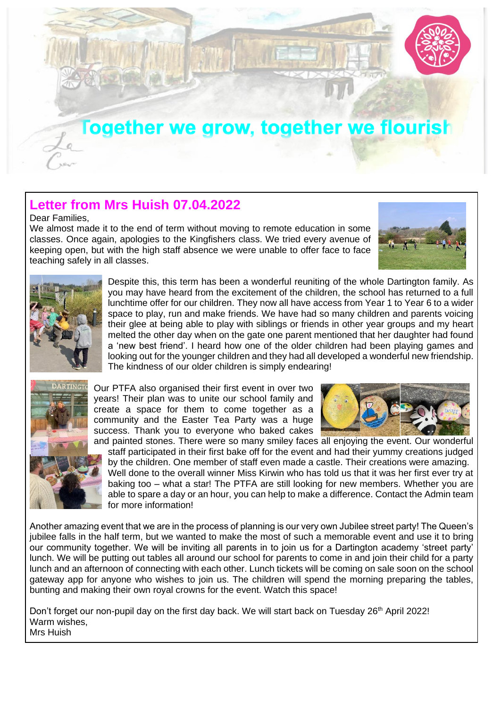

## **Letter from Mrs Huish 07.04.2022**

Dear Families,

We almost made it to the end of term without moving to remote education in some classes. Once again, apologies to the Kingfishers class. We tried every avenue of keeping open, but with the high staff absence we were unable to offer face to face teaching safely in all classes.





Despite this, this term has been a wonderful reuniting of the whole Dartington family. As you may have heard from the excitement of the children, the school has returned to a full lunchtime offer for our children. They now all have access from Year 1 to Year 6 to a wider space to play, run and make friends. We have had so many children and parents voicing their glee at being able to play with siblings or friends in other year groups and my heart melted the other day when on the gate one parent mentioned that her daughter had found a 'new best friend'. I heard how one of the older children had been playing games and looking out for the younger children and they had all developed a wonderful new friendship. The kindness of our older children is simply endearing!



Our PTFA also organised their first event in over two years! Their plan was to unite our school family and create a space for them to come together as a community and the Easter Tea Party was a huge success. Thank you to everyone who baked cakes



and painted stones. There were so many smiley faces all enjoying the event. Our wonderful staff participated in their first bake off for the event and had their yummy creations judged by the children. One member of staff even made a castle. Their creations were amazing. Well done to the overall winner Miss Kirwin who has told us that it was her first ever try at baking too – what a star! The PTFA are still looking for new members. Whether you are able to spare a day or an hour, you can help to make a difference. Contact the Admin team for more information!

Another amazing event that we are in the process of planning is our very own Jubilee street party! The Queen's jubilee falls in the half term, but we wanted to make the most of such a memorable event and use it to bring our community together. We will be inviting all parents in to join us for a Dartington academy 'street party' lunch. We will be putting out tables all around our school for parents to come in and join their child for a party lunch and an afternoon of connecting with each other. Lunch tickets will be coming on sale soon on the school gateway app for anyone who wishes to join us. The children will spend the morning preparing the tables, bunting and making their own royal crowns for the event. Watch this space!

Don't forget our non-pupil day on the first day back. We will start back on Tuesday 26<sup>th</sup> April 2022! Warm wishes, Mrs Huish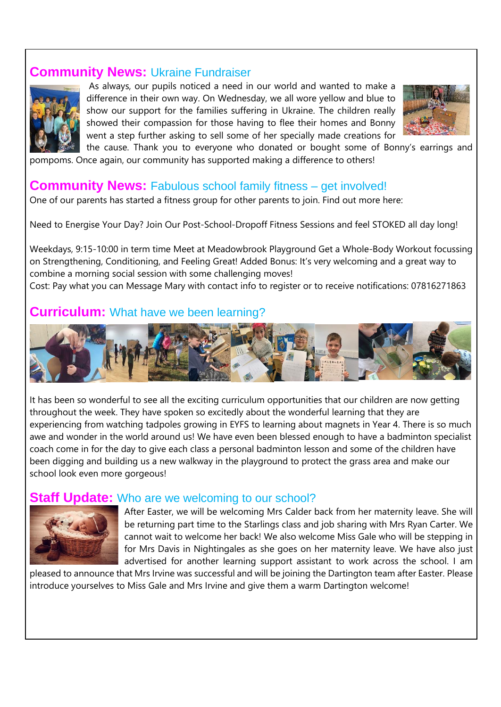#### **Community News:** Ukraine Fundraiser



As always, our pupils noticed a need in our world and wanted to make a difference in their own way. On Wednesday, we all wore yellow and blue to show our support for the families suffering in Ukraine. The children really showed their compassion for those having to flee their homes and Bonny went a step further asking to sell some of her specially made creations for



the cause. Thank you to everyone who donated or bought some of Bonny's earrings and pompoms. Once again, our community has supported making a difference to others!

### **Community News:** Fabulous school family fitness – get involved!

One of our parents has started a fitness group for other parents to join. Find out more here:

Need to Energise Your Day? Join Our Post-School-Dropoff Fitness Sessions and feel STOKED all day long!

Weekdays, 9:15-10:00 in term time Meet at Meadowbrook Playground Get a Whole-Body Workout focussing on Strengthening, Conditioning, and Feeling Great! Added Bonus: It's very welcoming and a great way to combine a morning social session with some challenging moves!

Cost: Pay what you can Message Mary with contact info to register or to receive notifications: 07816271863

#### **Curriculum:** What have we been learning?



It has been so wonderful to see all the exciting curriculum opportunities that our children are now getting throughout the week. They have spoken so excitedly about the wonderful learning that they are experiencing from watching tadpoles growing in EYFS to learning about magnets in Year 4. There is so much awe and wonder in the world around us! We have even been blessed enough to have a badminton specialist coach come in for the day to give each class a personal badminton lesson and some of the children have been digging and building us a new walkway in the playground to protect the grass area and make our school look even more gorgeous!

#### **Ipdate:** Who are we welcoming to our school?



After Easter, we will be welcoming Mrs Calder back from her maternity leave. She will be returning part time to the Starlings class and job sharing with Mrs Ryan Carter. We cannot wait to welcome her back! We also welcome Miss Gale who will be stepping in for Mrs Davis in Nightingales as she goes on her maternity leave. We have also just advertised for another learning support assistant to work across the school. I am

pleased to announce that Mrs Irvine was successful and will be joining the Dartington team after Easter. Please introduce yourselves to Miss Gale and Mrs Irvine and give them a warm Dartington welcome!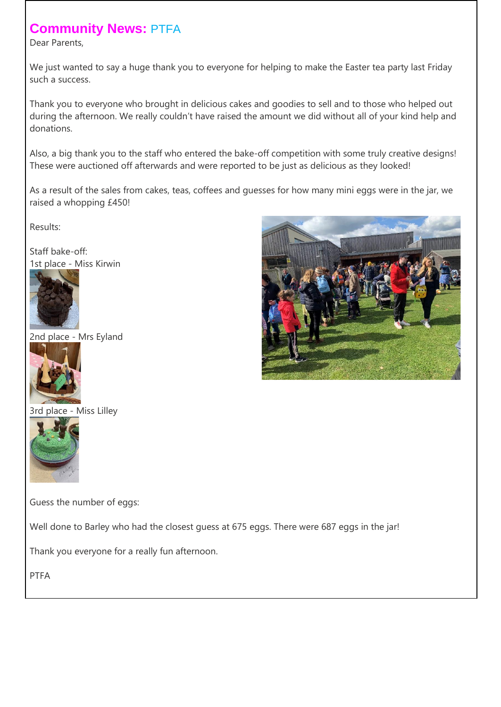# **Community News:** PTFA

Dear Parents,

We just wanted to say a huge thank you to everyone for helping to make the Easter tea party last Friday such a success.

Thank you to everyone who brought in delicious cakes and goodies to sell and to those who helped out during the afternoon. We really couldn't have raised the amount we did without all of your kind help and donations.

Also, a big thank you to the staff who entered the bake-off competition with some truly creative designs! These were auctioned off afterwards and were reported to be just as delicious as they looked!

As a result of the sales from cakes, teas, coffees and guesses for how many mini eggs were in the jar, we raised a whopping £450!

Results:

Staff bake-off: 1st place - Miss Kirwin



2nd place - Mrs Eyland



3rd place - Miss Lilley



Guess the number of eggs:

Well done to Barley who had the closest guess at 675 eggs. There were 687 eggs in the jar!

Thank you everyone for a really fun afternoon.

PTFA